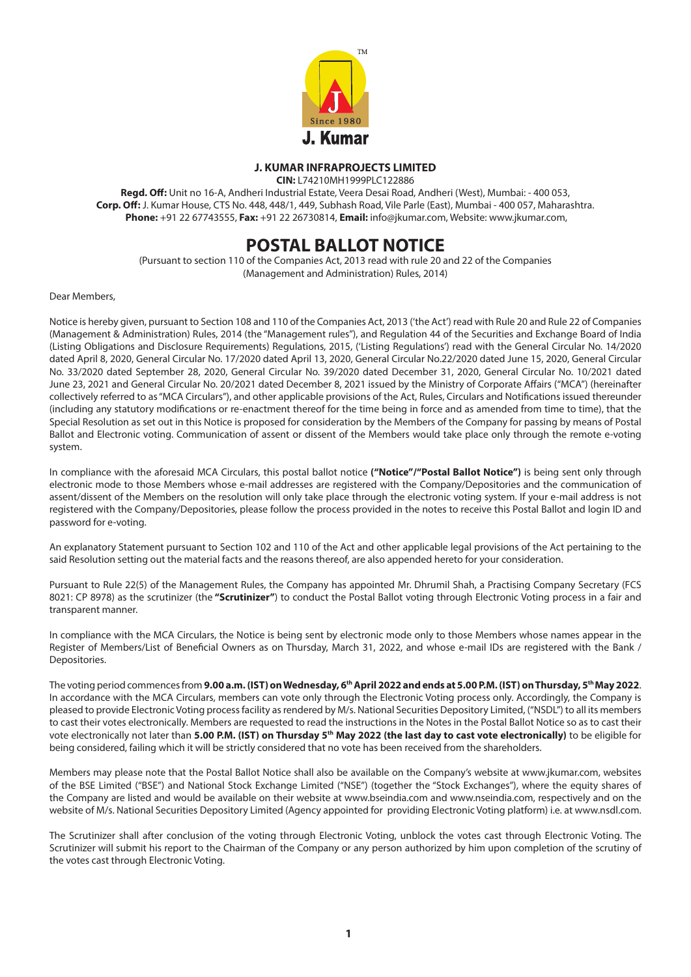

# **J. KUMAR INFRAPROJECTS LIMITED**

**CIN:** L74210MH1999PLC122886

**Regd. Off:** Unit no 16-A, Andheri Industrial Estate, Veera Desai Road, Andheri (West), Mumbai: - 400 053, **Corp. Off:** J. Kumar House, CTS No. 448, 448/1, 449, Subhash Road, Vile Parle (East), Mumbai - 400 057, Maharashtra.  **Phone:** +91 22 67743555, **Fax:** +91 22 26730814, **Email:** info@jkumar.com, Website: www.jkumar.com,

# **POSTAL BALLOT NOTICE**

(Pursuant to section 110 of the Companies Act, 2013 read with rule 20 and 22 of the Companies (Management and Administration) Rules, 2014)

Dear Members,

Notice is hereby given, pursuant to Section 108 and 110 of the Companies Act, 2013 ('the Act') read with Rule 20 and Rule 22 of Companies (Management & Administration) Rules, 2014 (the "Management rules"), and Regulation 44 of the Securities and Exchange Board of India (Listing Obligations and Disclosure Requirements) Regulations, 2015, ('Listing Regulations') read with the General Circular No. 14/2020 dated April 8, 2020, General Circular No. 17/2020 dated April 13, 2020, General Circular No.22/2020 dated June 15, 2020, General Circular No. 33/2020 dated September 28, 2020, General Circular No. 39/2020 dated December 31, 2020, General Circular No. 10/2021 dated June 23, 2021 and General Circular No. 20/2021 dated December 8, 2021 issued by the Ministry of Corporate Affairs ("MCA") (hereinafter collectively referred to as "MCA Circulars"), and other applicable provisions of the Act, Rules, Circulars and Notifications issued thereunder (including any statutory modifications or re-enactment thereof for the time being in force and as amended from time to time), that the Special Resolution as set out in this Notice is proposed for consideration by the Members of the Company for passing by means of Postal Ballot and Electronic voting. Communication of assent or dissent of the Members would take place only through the remote e-voting system.

In compliance with the aforesaid MCA Circulars, this postal ballot notice **("Notice"/"Postal Ballot Notice")** is being sent only through electronic mode to those Members whose e-mail addresses are registered with the Company/Depositories and the communication of assent/dissent of the Members on the resolution will only take place through the electronic voting system. If your e-mail address is not registered with the Company/Depositories, please follow the process provided in the notes to receive this Postal Ballot and login ID and password for e-voting.

An explanatory Statement pursuant to Section 102 and 110 of the Act and other applicable legal provisions of the Act pertaining to the said Resolution setting out the material facts and the reasons thereof, are also appended hereto for your consideration.

Pursuant to Rule 22(5) of the Management Rules, the Company has appointed Mr. Dhrumil Shah, a Practising Company Secretary (FCS 8021: CP 8978) as the scrutinizer (the **"Scrutinizer"**) to conduct the Postal Ballot voting through Electronic Voting process in a fair and transparent manner.

In compliance with the MCA Circulars, the Notice is being sent by electronic mode only to those Members whose names appear in the Register of Members/List of Beneficial Owners as on Thursday, March 31, 2022, and whose e-mail IDs are registered with the Bank / Depositories.

The voting period commences from **9.00 a.m. (IST) on Wednesday, 6th April 2022 and ends at 5.00 P.M. (IST) on Thursday, 5th May 2022**. In accordance with the MCA Circulars, members can vote only through the Electronic Voting process only. Accordingly, the Company is pleased to provide Electronic Voting process facility as rendered by M/s. National Securities Depository Limited, ("NSDL") to all its members to cast their votes electronically. Members are requested to read the instructions in the Notes in the Postal Ballot Notice so as to cast their vote electronically not later than 5.00 P.M. (IST) on Thursday 5<sup>th</sup> May 2022 (the last day to cast vote electronically) to be eligible for being considered, failing which it will be strictly considered that no vote has been received from the shareholders.

Members may please note that the Postal Ballot Notice shall also be available on the Company's website at www.jkumar.com, websites of the BSE Limited ("BSE") and National Stock Exchange Limited ("NSE") (together the "Stock Exchanges"), where the equity shares of the Company are listed and would be available on their website at www.bseindia.com and www.nseindia.com, respectively and on the website of M/s. National Securities Depository Limited (Agency appointed for providing Electronic Voting platform) i.e. at www.nsdl.com.

The Scrutinizer shall after conclusion of the voting through Electronic Voting, unblock the votes cast through Electronic Voting. The Scrutinizer will submit his report to the Chairman of the Company or any person authorized by him upon completion of the scrutiny of the votes cast through Electronic Voting.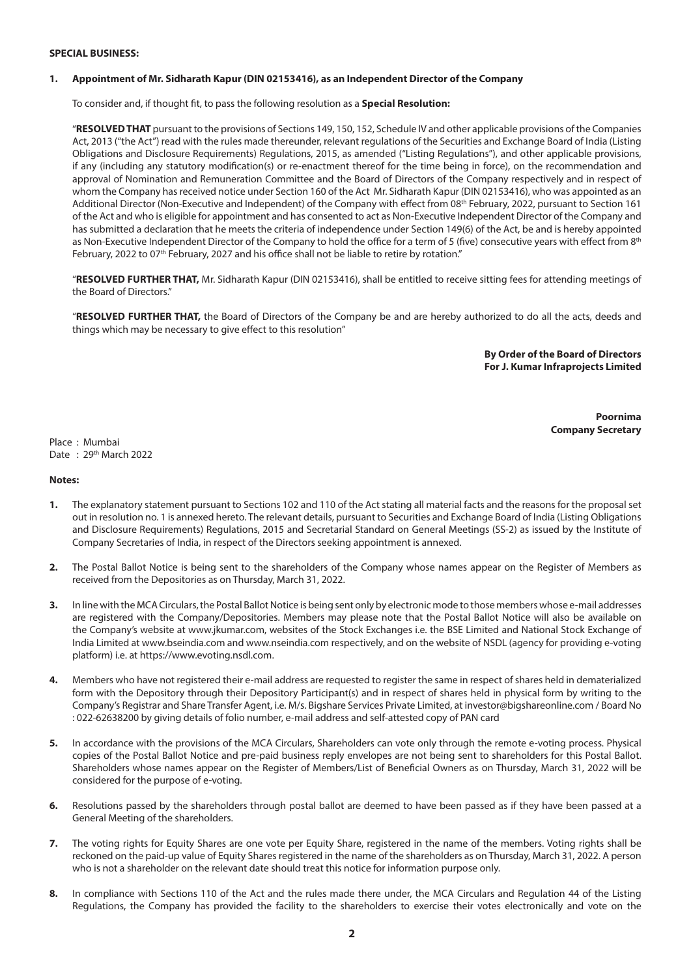#### **SPECIAL BUSINESS:**

#### **1. Appointment of Mr. Sidharath Kapur (DIN 02153416), as an Independent Director of the Company**

To consider and, if thought fit, to pass the following resolution as a **Special Resolution:**

''**RESOLVED THAT** pursuant to the provisions of Sections 149, 150, 152, Schedule IV and other applicable provisions of the Companies Act, 2013 ("the Act") read with the rules made thereunder, relevant regulations of the Securities and Exchange Board of India (Listing Obligations and Disclosure Requirements) Regulations, 2015, as amended ("Listing Regulations"), and other applicable provisions, if any (including any statutory modification(s) or re-enactment thereof for the time being in force), on the recommendation and approval of Nomination and Remuneration Committee and the Board of Directors of the Company respectively and in respect of whom the Company has received notice under Section 160 of the Act Mr. Sidharath Kapur (DIN 02153416), who was appointed as an Additional Director (Non-Executive and Independent) of the Company with effect from 08th February, 2022, pursuant to Section 161 of the Act and who is eligible for appointment and has consented to act as Non-Executive Independent Director of the Company and has submitted a declaration that he meets the criteria of independence under Section 149(6) of the Act, be and is hereby appointed as Non-Executive Independent Director of the Company to hold the office for a term of 5 (five) consecutive years with effect from 8<sup>th</sup> February, 2022 to 07<sup>th</sup> February, 2027 and his office shall not be liable to retire by rotation."

''**RESOLVED FURTHER THAT,** Mr. Sidharath Kapur (DIN 02153416), shall be entitled to receive sitting fees for attending meetings of the Board of Directors.''

''**RESOLVED FURTHER THAT,** the Board of Directors of the Company be and are hereby authorized to do all the acts, deeds and things which may be necessary to give effect to this resolution''

> **By Order of the Board of Directors For J. Kumar Infraprojects Limited**

> > **Poornima Company Secretary**

Place : Mumbai Date: 29<sup>th</sup> March 2022

#### **Notes:**

- **1.** The explanatory statement pursuant to Sections 102 and 110 of the Act stating all material facts and the reasons for the proposal set out in resolution no. 1 is annexed hereto. The relevant details, pursuant to Securities and Exchange Board of India (Listing Obligations and Disclosure Requirements) Regulations, 2015 and Secretarial Standard on General Meetings (SS-2) as issued by the Institute of Company Secretaries of India, in respect of the Directors seeking appointment is annexed.
- **2.** The Postal Ballot Notice is being sent to the shareholders of the Company whose names appear on the Register of Members as received from the Depositories as on Thursday, March 31, 2022.
- **3.** In line with the MCA Circulars, the Postal Ballot Notice is being sent only by electronic mode to those members whose e-mail addresses are registered with the Company/Depositories. Members may please note that the Postal Ballot Notice will also be available on the Company's website at www.jkumar.com, websites of the Stock Exchanges i.e. the BSE Limited and National Stock Exchange of India Limited at www.bseindia.com and www.nseindia.com respectively, and on the website of NSDL (agency for providing e-voting platform) i.e. at https://www.evoting.nsdl.com.
- **4.** Members who have not registered their e-mail address are requested to register the same in respect of shares held in dematerialized form with the Depository through their Depository Participant(s) and in respect of shares held in physical form by writing to the Company's Registrar and Share Transfer Agent, i.e. M/s. Bigshare Services Private Limited, at investor@bigshareonline.com / Board No : 022-62638200 by giving details of folio number, e-mail address and self-attested copy of PAN card
- **5.** In accordance with the provisions of the MCA Circulars, Shareholders can vote only through the remote e-voting process. Physical copies of the Postal Ballot Notice and pre-paid business reply envelopes are not being sent to shareholders for this Postal Ballot. Shareholders whose names appear on the Register of Members/List of Beneficial Owners as on Thursday, March 31, 2022 will be considered for the purpose of e-voting.
- **6.** Resolutions passed by the shareholders through postal ballot are deemed to have been passed as if they have been passed at a General Meeting of the shareholders.
- **7.** The voting rights for Equity Shares are one vote per Equity Share, registered in the name of the members. Voting rights shall be reckoned on the paid-up value of Equity Shares registered in the name of the shareholders as on Thursday, March 31, 2022. A person who is not a shareholder on the relevant date should treat this notice for information purpose only.
- **8.** In compliance with Sections 110 of the Act and the rules made there under, the MCA Circulars and Regulation 44 of the Listing Regulations, the Company has provided the facility to the shareholders to exercise their votes electronically and vote on the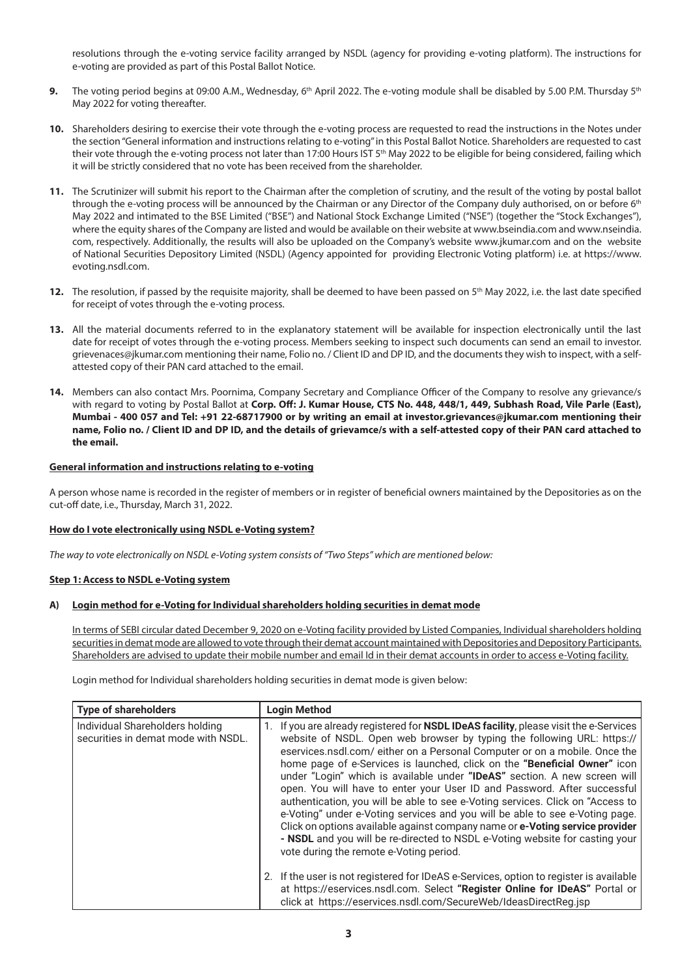resolutions through the e-voting service facility arranged by NSDL (agency for providing e-voting platform). The instructions for e-voting are provided as part of this Postal Ballot Notice.

- **9.** The voting period begins at 09:00 A.M., Wednesday, 6<sup>th</sup> April 2022. The e-voting module shall be disabled by 5.00 P.M. Thursday 5<sup>th</sup> May 2022 for voting thereafter.
- 10. Shareholders desiring to exercise their vote through the e-voting process are requested to read the instructions in the Notes under the section "General information and instructions relating to e-voting" in this Postal Ballot Notice. Shareholders are requested to cast their vote through the e-voting process not later than 17:00 Hours IST 5<sup>th</sup> May 2022 to be eligible for being considered, failing which it will be strictly considered that no vote has been received from the shareholder.
- **11.** The Scrutinizer will submit his report to the Chairman after the completion of scrutiny, and the result of the voting by postal ballot through the e-voting process will be announced by the Chairman or any Director of the Company duly authorised, on or before 6<sup>th</sup> May 2022 and intimated to the BSE Limited ("BSE") and National Stock Exchange Limited ("NSE") (together the "Stock Exchanges"), where the equity shares of the Company are listed and would be available on their website at www.bseindia.com and www.nseindia. com, respectively. Additionally, the results will also be uploaded on the Company's website www.jkumar.com and on the website of National Securities Depository Limited (NSDL) (Agency appointed for providing Electronic Voting platform) i.e. at https://www. evoting.nsdl.com.
- 12. The resolution, if passed by the requisite majority, shall be deemed to have been passed on 5<sup>th</sup> May 2022, i.e. the last date specified for receipt of votes through the e-voting process.
- **13.** All the material documents referred to in the explanatory statement will be available for inspection electronically until the last date for receipt of votes through the e-voting process. Members seeking to inspect such documents can send an email to investor. grievenaces@jkumar.com mentioning their name, Folio no. / Client ID and DP ID, and the documents they wish to inspect, with a selfattested copy of their PAN card attached to the email.
- **14.** Members can also contact Mrs. Poornima, Company Secretary and Compliance Officer of the Company to resolve any grievance/s with regard to voting by Postal Ballot at **Corp. Off: J. Kumar House, CTS No. 448, 448/1, 449, Subhash Road, Vile Parle (East), Mumbai - 400 057 and Tel: +91 22-68717900 or by writing an email at investor.grievances@jkumar.com mentioning their name, Folio no. / Client ID and DP ID, and the details of grievamce/s with a self-attested copy of their PAN card attached to the email.**

## **General information and instructions relating to e-voting**

A person whose name is recorded in the register of members or in register of beneficial owners maintained by the Depositories as on the cut-off date, i.e., Thursday, March 31, 2022.

### **How do I vote electronically using NSDL e-Voting system?**

*The way to vote electronically on NSDL e-Voting system consists of "Two Steps" which are mentioned below:*

## **Step 1: Access to NSDL e-Voting system**

### **A) Login method for e-Voting for Individual shareholders holding securities in demat mode**

In terms of SEBI circular dated December 9, 2020 on e-Voting facility provided by Listed Companies, Individual shareholders holding securities in demat mode are allowed to vote through their demat account maintained with Depositories and Depository Participants. Shareholders are advised to update their mobile number and email Id in their demat accounts in order to access e-Voting facility.

Login method for Individual shareholders holding securities in demat mode is given below:

| <b>Type of shareholders</b>                                            | <b>Login Method</b>                                                                                                                                                                                                                                                                                                                                                                                                                                                                                                                                                                                                                                                                                                                                                                                                                                                      |  |
|------------------------------------------------------------------------|--------------------------------------------------------------------------------------------------------------------------------------------------------------------------------------------------------------------------------------------------------------------------------------------------------------------------------------------------------------------------------------------------------------------------------------------------------------------------------------------------------------------------------------------------------------------------------------------------------------------------------------------------------------------------------------------------------------------------------------------------------------------------------------------------------------------------------------------------------------------------|--|
| Individual Shareholders holding<br>securities in demat mode with NSDL. | 1. If you are already registered for <b>NSDL IDeAS facility</b> , please visit the e-Services<br>website of NSDL. Open web browser by typing the following URL: https://<br>eservices.nsdl.com/either on a Personal Computer or on a mobile. Once the<br>home page of e-Services is launched, click on the "Beneficial Owner" icon<br>under "Login" which is available under "IDeAS" section. A new screen will<br>open. You will have to enter your User ID and Password. After successful<br>authentication, you will be able to see e-Voting services. Click on "Access to<br>e-Voting" under e-Voting services and you will be able to see e-Voting page.<br>Click on options available against company name or e-Voting service provider<br>- NSDL and you will be re-directed to NSDL e-Voting website for casting your<br>vote during the remote e-Voting period. |  |
|                                                                        | 2. If the user is not registered for IDeAS e-Services, option to register is available<br>at https://eservices.nsdl.com. Select "Register Online for IDeAS" Portal or<br>click at https://eservices.nsdl.com/SecureWeb/IdeasDirectReq.jsp                                                                                                                                                                                                                                                                                                                                                                                                                                                                                                                                                                                                                                |  |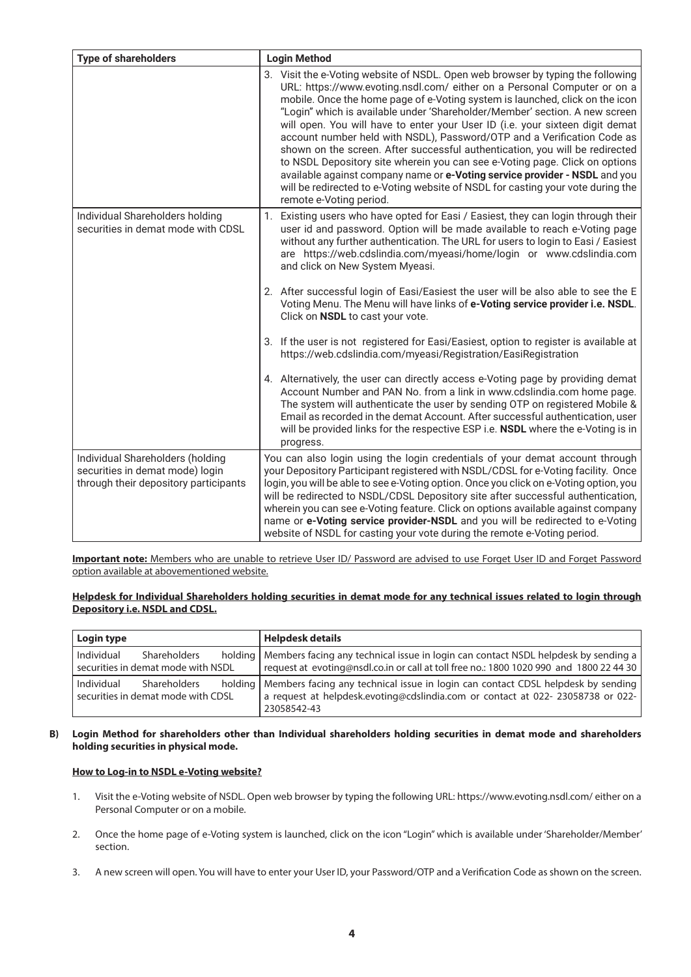| <b>Type of shareholders</b>                                                                                  | <b>Login Method</b>                                                                                                                                                                                                                                                                                                                                                                                                                                                                                                                                                                                                                                                                                                                                                                                                                               |  |
|--------------------------------------------------------------------------------------------------------------|---------------------------------------------------------------------------------------------------------------------------------------------------------------------------------------------------------------------------------------------------------------------------------------------------------------------------------------------------------------------------------------------------------------------------------------------------------------------------------------------------------------------------------------------------------------------------------------------------------------------------------------------------------------------------------------------------------------------------------------------------------------------------------------------------------------------------------------------------|--|
|                                                                                                              | 3. Visit the e-Voting website of NSDL. Open web browser by typing the following<br>URL: https://www.evoting.nsdl.com/ either on a Personal Computer or on a<br>mobile. Once the home page of e-Voting system is launched, click on the icon<br>"Login" which is available under 'Shareholder/Member' section. A new screen<br>will open. You will have to enter your User ID (i.e. your sixteen digit demat<br>account number held with NSDL), Password/OTP and a Verification Code as<br>shown on the screen. After successful authentication, you will be redirected<br>to NSDL Depository site wherein you can see e-Voting page. Click on options<br>available against company name or e-Voting service provider - NSDL and you<br>will be redirected to e-Voting website of NSDL for casting your vote during the<br>remote e-Voting period. |  |
| Individual Shareholders holding<br>securities in demat mode with CDSL                                        | 1. Existing users who have opted for Easi / Easiest, they can login through their<br>user id and password. Option will be made available to reach e-Voting page<br>without any further authentication. The URL for users to login to Easi / Easiest<br>are https://web.cdslindia.com/myeasi/home/login or www.cdslindia.com<br>and click on New System Myeasi.                                                                                                                                                                                                                                                                                                                                                                                                                                                                                    |  |
|                                                                                                              | 2. After successful login of Easi/Easiest the user will be also able to see the E<br>Voting Menu. The Menu will have links of e-Voting service provider i.e. NSDL.<br>Click on NSDL to cast your vote.                                                                                                                                                                                                                                                                                                                                                                                                                                                                                                                                                                                                                                            |  |
|                                                                                                              | 3. If the user is not registered for Easi/Easiest, option to register is available at<br>https://web.cdslindia.com/myeasi/Registration/EasiRegistration                                                                                                                                                                                                                                                                                                                                                                                                                                                                                                                                                                                                                                                                                           |  |
|                                                                                                              | 4. Alternatively, the user can directly access e-Voting page by providing demat<br>Account Number and PAN No. from a link in www.cdslindia.com home page.<br>The system will authenticate the user by sending OTP on registered Mobile &<br>Email as recorded in the demat Account. After successful authentication, user<br>will be provided links for the respective ESP i.e. NSDL where the e-Voting is in<br>progress.                                                                                                                                                                                                                                                                                                                                                                                                                        |  |
| Individual Shareholders (holding<br>securities in demat mode) login<br>through their depository participants | You can also login using the login credentials of your demat account through<br>your Depository Participant registered with NSDL/CDSL for e-Voting facility. Once<br>login, you will be able to see e-Voting option. Once you click on e-Voting option, you<br>will be redirected to NSDL/CDSL Depository site after successful authentication,<br>wherein you can see e-Voting feature. Click on options available against company<br>name or e-Voting service provider-NSDL and you will be redirected to e-Voting<br>website of NSDL for casting your vote during the remote e-Voting period.                                                                                                                                                                                                                                                  |  |

**Important note:** Members who are unable to retrieve User ID/ Password are advised to use Forget User ID and Forget Password option available at abovementioned website.

## **Helpdesk for Individual Shareholders holding securities in demat mode for any technical issues related to login through Depository i.e. NSDL and CDSL.**

| Login type                                                       |                                                           | <b>Helpdesk details</b>                                                                                                                                                                      |
|------------------------------------------------------------------|-----------------------------------------------------------|----------------------------------------------------------------------------------------------------------------------------------------------------------------------------------------------|
| Individual                                                       | <b>Shareholders</b><br>securities in demat mode with NSDL | holding   Members facing any technical issue in login can contact NSDL helpdesk by sending a<br>request at evoting@nsdl.co.in or call at toll free no.: 1800 1020 990 and 1800 22 44 30      |
| Individual<br>Shareholders<br>securities in demat mode with CDSL |                                                           | holding   Members facing any technical issue in login can contact CDSL helpdesk by sending<br>a request at helpdesk.evoting@cdslindia.com or contact at 022- 23058738 or 022-<br>23058542-43 |

## **B) Login Method for shareholders other than Individual shareholders holding securities in demat mode and shareholders holding securities in physical mode.**

# **How to Log-in to NSDL e-Voting website?**

- 1. Visit the e-Voting website of NSDL. Open web browser by typing the following URL: https://www.evoting.nsdl.com/ either on a Personal Computer or on a mobile.
- 2. Once the home page of e-Voting system is launched, click on the icon "Login" which is available under 'Shareholder/Member' section.
- 3. A new screen will open. You will have to enter your User ID, your Password/OTP and a Verification Code as shown on the screen.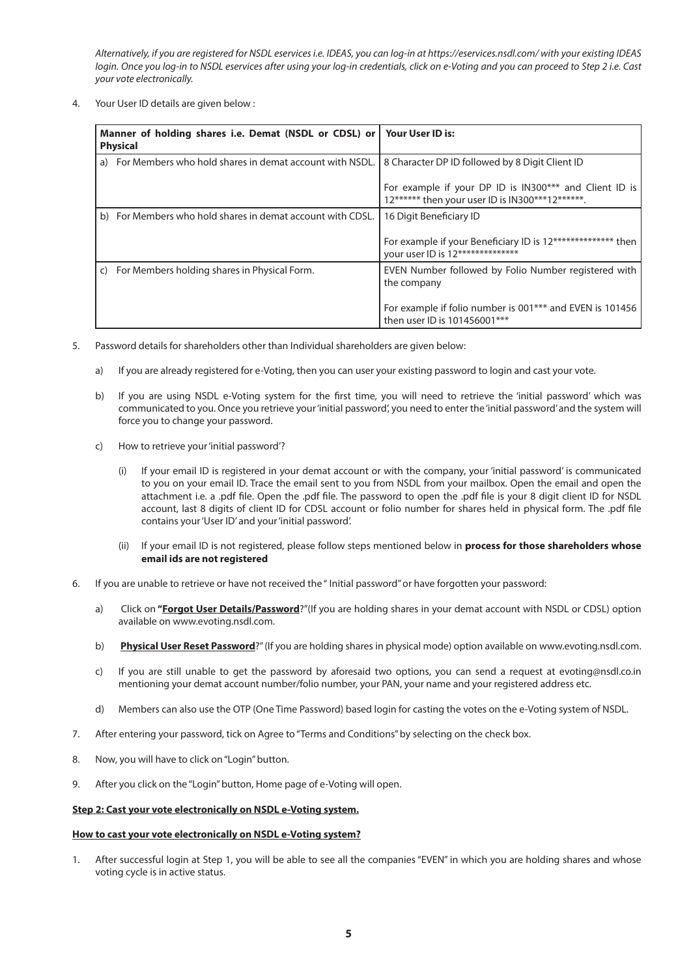*Alternatively, if you are registered for NSDL eservices i.e. IDEAS, you can log-in at https://eservices.nsdl.com/ with your existing IDEAS login. Once you log-in to NSDL eservices after using your log-in credentials, click on e-Voting and you can proceed to Step 2 i.e. Cast your vote electronically.*

4. Your User ID details are given below :

|    | Manner of holding shares i.e. Demat (NSDL or CDSL) or<br><b>Physical</b> | Your User ID is:                                                                                          |
|----|--------------------------------------------------------------------------|-----------------------------------------------------------------------------------------------------------|
| a) | For Members who hold shares in demat account with NSDL.                  | 8 Character DP ID followed by 8 Digit Client ID                                                           |
|    |                                                                          | For example if your DP ID is IN300*** and Client ID is<br>12****** then your user ID is IN300***12******. |
|    | b) For Members who hold shares in demat account with CDSL.               | 16 Digit Beneficiary ID                                                                                   |
|    |                                                                          | For example if your Beneficiary ID is 12************** then<br>your user ID is 12**************           |
| C) | For Members holding shares in Physical Form.                             | EVEN Number followed by Folio Number registered with<br>the company                                       |
|    |                                                                          | For example if folio number is 001*** and EVEN is 101456<br>then user ID is 101456001***                  |

- 5. Password details for shareholders other than Individual shareholders are given below:
	- a) If you are already registered for e-Voting, then you can user your existing password to login and cast your vote.
	- b) If you are using NSDL e-Voting system for the first time, you will need to retrieve the 'initial password' which was communicated to you. Once you retrieve your 'initial password', you need to enter the 'initial password' and the system will force you to change your password.
	- c) How to retrieve your 'initial password'?
		- (i) If your email ID is registered in your demat account or with the company, your 'initial password' is communicated to you on your email ID. Trace the email sent to you from NSDL from your mailbox. Open the email and open the attachment i.e. a .pdf file. Open the .pdf file. The password to open the .pdf file is your 8 digit client ID for NSDL account, last 8 digits of client ID for CDSL account or folio number for shares held in physical form. The .pdf file contains your 'User ID' and your 'initial password'.
		- (ii) If your email ID is not registered, please follow steps mentioned below in **process for those shareholders whose email ids are not registered**
- 6. If you are unable to retrieve or have not received the " Initial password" or have forgotten your password:
	- a) Click on **"Forgot User Details/Password**?"(If you are holding shares in your demat account with NSDL or CDSL) option available on www.evoting.nsdl.com.
	- b) **Physical User Reset Password**?" (If you are holding shares in physical mode) option available on www.evoting.nsdl.com.
	- c) If you are still unable to get the password by aforesaid two options, you can send a request at evoting@nsdl.co.in mentioning your demat account number/folio number, your PAN, your name and your registered address etc.
	- d) Members can also use the OTP (One Time Password) based login for casting the votes on the e-Voting system of NSDL.
- 7. After entering your password, tick on Agree to "Terms and Conditions" by selecting on the check box.
- 8. Now, you will have to click on "Login" button.
- 9. After you click on the "Login" button, Home page of e-Voting will open.

## **Step 2: Cast your vote electronically on NSDL e-Voting system.**

## **How to cast your vote electronically on NSDL e-Voting system?**

1. After successful login at Step 1, you will be able to see all the companies "EVEN" in which you are holding shares and whose voting cycle is in active status.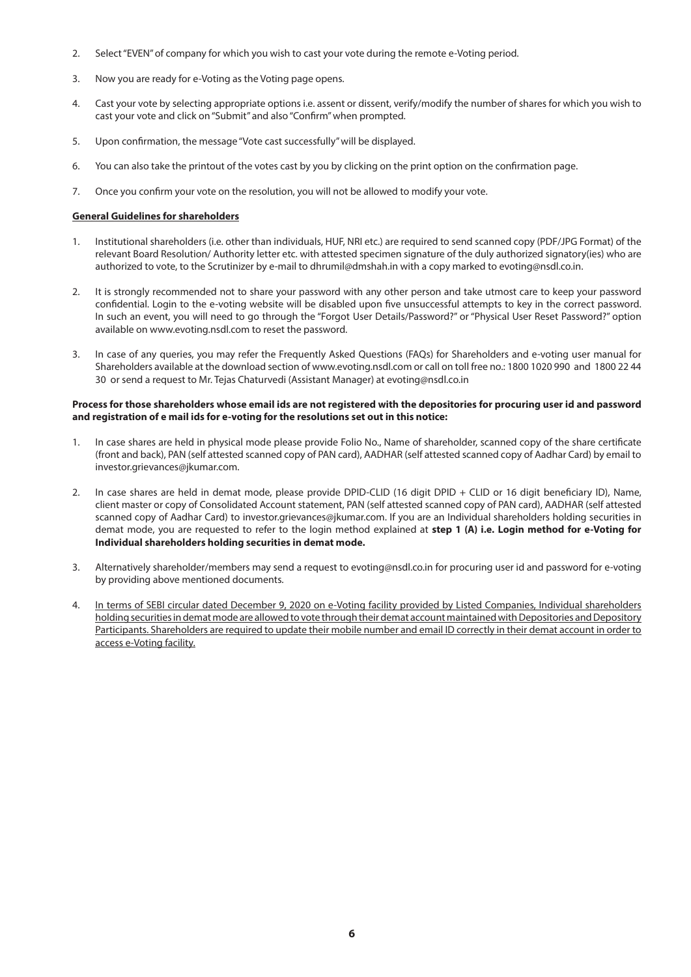- 2. Select "EVEN" of company for which you wish to cast your vote during the remote e-Voting period.
- 3. Now you are ready for e-Voting as the Voting page opens.
- 4. Cast your vote by selecting appropriate options i.e. assent or dissent, verify/modify the number of shares for which you wish to cast your vote and click on "Submit" and also "Confirm" when prompted.
- 5. Upon confirmation, the message "Vote cast successfully" will be displayed.
- 6. You can also take the printout of the votes cast by you by clicking on the print option on the confirmation page.
- 7. Once you confirm your vote on the resolution, you will not be allowed to modify your vote.

## **General Guidelines for shareholders**

- 1. Institutional shareholders (i.e. other than individuals, HUF, NRI etc.) are required to send scanned copy (PDF/JPG Format) of the relevant Board Resolution/ Authority letter etc. with attested specimen signature of the duly authorized signatory(ies) who are authorized to vote, to the Scrutinizer by e-mail to dhrumil@dmshah.in with a copy marked to evoting@nsdl.co.in.
- 2. It is strongly recommended not to share your password with any other person and take utmost care to keep your password confidential. Login to the e-voting website will be disabled upon five unsuccessful attempts to key in the correct password. In such an event, you will need to go through the "Forgot User Details/Password?" or "Physical User Reset Password?" option available on www.evoting.nsdl.com to reset the password.
- 3. In case of any queries, you may refer the Frequently Asked Questions (FAQs) for Shareholders and e-voting user manual for Shareholders available at the download section of www.evoting.nsdl.com or call on toll free no.: 1800 1020 990 and 1800 22 44 30 or send a request to Mr. Tejas Chaturvedi (Assistant Manager) at evoting@nsdl.co.in

### **Process for those shareholders whose email ids are not registered with the depositories for procuring user id and password and registration of e mail ids for e-voting for the resolutions set out in this notice:**

- 1. In case shares are held in physical mode please provide Folio No., Name of shareholder, scanned copy of the share certificate (front and back), PAN (self attested scanned copy of PAN card), AADHAR (self attested scanned copy of Aadhar Card) by email to investor.grievances@jkumar.com.
- 2. In case shares are held in demat mode, please provide DPID-CLID (16 digit DPID + CLID or 16 digit beneficiary ID), Name, client master or copy of Consolidated Account statement, PAN (self attested scanned copy of PAN card), AADHAR (self attested scanned copy of Aadhar Card) to investor.grievances@jkumar.com. If you are an Individual shareholders holding securities in demat mode, you are requested to refer to the login method explained at **step 1 (A) i.e. Login method for e-Voting for Individual shareholders holding securities in demat mode.**
- 3. Alternatively shareholder/members may send a request to evoting@nsdl.co.in for procuring user id and password for e-voting by providing above mentioned documents.
- 4. In terms of SEBI circular dated December 9, 2020 on e-Voting facility provided by Listed Companies, Individual shareholders holding securities in demat mode are allowed to vote through their demat account maintained with Depositories and Depository Participants. Shareholders are required to update their mobile number and email ID correctly in their demat account in order to access e-Voting facility.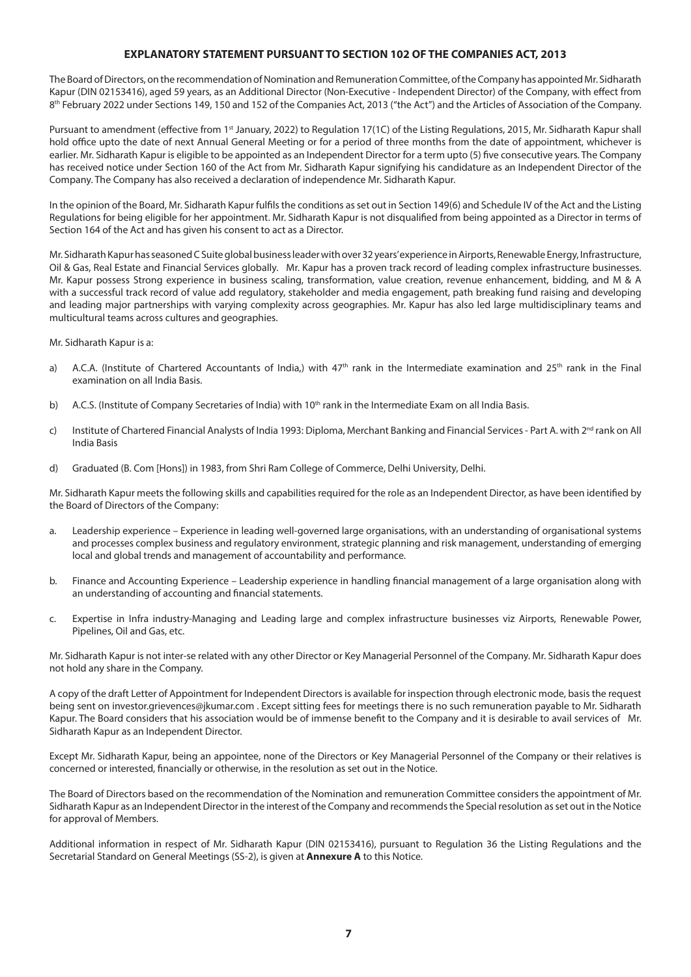# **EXPLANATORY STATEMENT PURSUANT TO SECTION 102 OF THE COMPANIES ACT, 2013**

The Board of Directors, on the recommendation of Nomination and Remuneration Committee, of the Company has appointed Mr. Sidharath Kapur (DIN 02153416), aged 59 years, as an Additional Director (Non-Executive - Independent Director) of the Company, with effect from 8<sup>th</sup> February 2022 under Sections 149, 150 and 152 of the Companies Act, 2013 ("the Act") and the Articles of Association of the Company.

Pursuant to amendment (effective from 1<sup>st</sup> January, 2022) to Regulation 17(1C) of the Listing Regulations, 2015, Mr. Sidharath Kapur shall hold office upto the date of next Annual General Meeting or for a period of three months from the date of appointment, whichever is earlier. Mr. Sidharath Kapur is eligible to be appointed as an Independent Director for a term upto (5) five consecutive years. The Company has received notice under Section 160 of the Act from Mr. Sidharath Kapur signifying his candidature as an Independent Director of the Company. The Company has also received a declaration of independence Mr. Sidharath Kapur.

In the opinion of the Board, Mr. Sidharath Kapur fulfils the conditions as set out in Section 149(6) and Schedule IV of the Act and the Listing Regulations for being eligible for her appointment. Mr. Sidharath Kapur is not disqualified from being appointed as a Director in terms of Section 164 of the Act and has given his consent to act as a Director.

Mr. Sidharath Kapur has seasoned C Suite global business leader with over 32 years' experience in Airports, Renewable Energy, Infrastructure, Oil & Gas, Real Estate and Financial Services globally. Mr. Kapur has a proven track record of leading complex infrastructure businesses. Mr. Kapur possess Strong experience in business scaling, transformation, value creation, revenue enhancement, bidding, and M & A with a successful track record of value add regulatory, stakeholder and media engagement, path breaking fund raising and developing and leading major partnerships with varying complexity across geographies. Mr. Kapur has also led large multidisciplinary teams and multicultural teams across cultures and geographies.

#### Mr. Sidharath Kapur is a:

- a) A.C.A. (Institute of Chartered Accountants of India,) with  $47<sup>th</sup>$  rank in the Intermediate examination and  $25<sup>th</sup>$  rank in the Final examination on all India Basis.
- b) A.C.S. (Institute of Company Secretaries of India) with 10<sup>th</sup> rank in the Intermediate Exam on all India Basis.
- c) Institute of Chartered Financial Analysts of India 1993: Diploma, Merchant Banking and Financial Services Part A. with 2<sup>nd</sup> rank on All India Basis
- d) Graduated (B. Com [Hons]) in 1983, from Shri Ram College of Commerce, Delhi University, Delhi.

Mr. Sidharath Kapur meets the following skills and capabilities required for the role as an Independent Director, as have been identified by the Board of Directors of the Company:

- a. Leadership experience Experience in leading well-governed large organisations, with an understanding of organisational systems and processes complex business and regulatory environment, strategic planning and risk management, understanding of emerging local and global trends and management of accountability and performance.
- b. Finance and Accounting Experience Leadership experience in handling financial management of a large organisation along with an understanding of accounting and financial statements.
- c. Expertise in Infra industry-Managing and Leading large and complex infrastructure businesses viz Airports, Renewable Power, Pipelines, Oil and Gas, etc.

Mr. Sidharath Kapur is not inter-se related with any other Director or Key Managerial Personnel of the Company. Mr. Sidharath Kapur does not hold any share in the Company.

A copy of the draft Letter of Appointment for Independent Directors is available for inspection through electronic mode, basis the request being sent on investor.grievences@jkumar.com . Except sitting fees for meetings there is no such remuneration payable to Mr. Sidharath Kapur. The Board considers that his association would be of immense benefit to the Company and it is desirable to avail services of Mr. Sidharath Kapur as an Independent Director.

Except Mr. Sidharath Kapur, being an appointee, none of the Directors or Key Managerial Personnel of the Company or their relatives is concerned or interested, financially or otherwise, in the resolution as set out in the Notice.

The Board of Directors based on the recommendation of the Nomination and remuneration Committee considers the appointment of Mr. Sidharath Kapur as an Independent Director in the interest of the Company and recommends the Special resolution as set out in the Notice for approval of Members.

Additional information in respect of Mr. Sidharath Kapur (DIN 02153416), pursuant to Regulation 36 the Listing Regulations and the Secretarial Standard on General Meetings (SS-2), is given at **Annexure A** to this Notice.